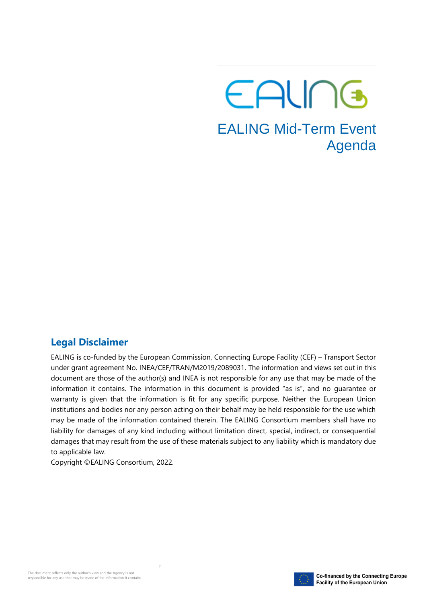# EALING

### EALING Mid-Term Event Agenda

#### **Legal Disclaimer**

EALING is co-funded by the European Commission, Connecting Europe Facility (CEF) – Transport Sector under grant agreement No. INEA/CEF/TRAN/M2019/2089031. The information and views set out in this document are those of the author(s) and INEA is not responsible for any use that may be made of the information it contains. The information in this document is provided "as is", and no guarantee or warranty is given that the information is fit for any specific purpose. Neither the European Union institutions and bodies nor any person acting on their behalf may be held responsible for the use which may be made of the information contained therein. The EALING Consortium members shall have no liability for damages of any kind including without limitation direct, special, indirect, or consequential damages that may result from the use of these materials subject to any liability which is mandatory due to applicable law.

Copyright ©EALING Consortium, 2022.

T

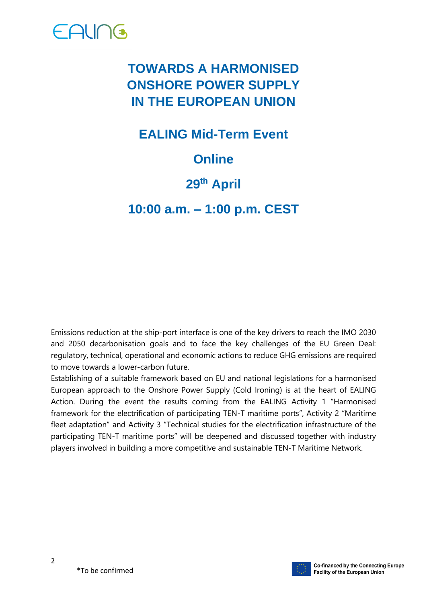

### **TOWARDS A HARMONISED ONSHORE POWER SUPPLY IN THE EUROPEAN UNION**

**EALING Mid-Term Event**

#### **Online**

#### **29th April**

**10:00 a.m. – 1:00 p.m. CEST**

Emissions reduction at the ship-port interface is one of the key drivers to reach the IMO 2030 and 2050 decarbonisation goals and to face the key challenges of the EU Green Deal: regulatory, technical, operational and economic actions to reduce GHG emissions are required to move towards a lower-carbon future.

Establishing of a suitable framework based on EU and national legislations for a harmonised European approach to the Onshore Power Supply (Cold Ironing) is at the heart of EALING Action. During the event the results coming from the EALING Activity 1 "Harmonised framework for the electrification of participating TEN-T maritime ports", Activity 2 "Maritime fleet adaptation" and Activity 3 "Technical studies for the electrification infrastructure of the participating TEN-T maritime ports" will be deepened and discussed together with industry players involved in building a more competitive and sustainable TEN-T Maritime Network.

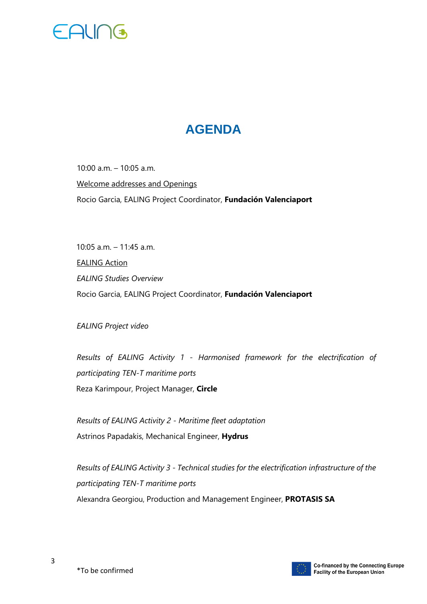

#### **AGENDA**

10:00 a.m. – 10:05 a.m. Welcome addresses and Openings Rocio Garcia, EALING Project Coordinator, **Fundación Valenciaport** 

10:05 a.m. – 11:45 a.m. EALING Action *EALING Studies Overview*  Rocio Garcia, EALING Project Coordinator, **Fundación Valenciaport**

*EALING Project video*

*Results of EALING Activity 1 - Harmonised framework for the electrification of participating TEN-T maritime ports* Reza Karimpour, Project Manager, **Circle**

*Results of EALING Activity 2 - Maritime fleet adaptation*  Astrinos Papadakis, Mechanical Engineer, **Hydrus**

*Results of EALING Activity 3 - Technical studies for the electrification infrastructure of the participating TEN-T maritime ports*  Alexandra Georgiou, Production and Management Engineer, **PROTASIS SA**